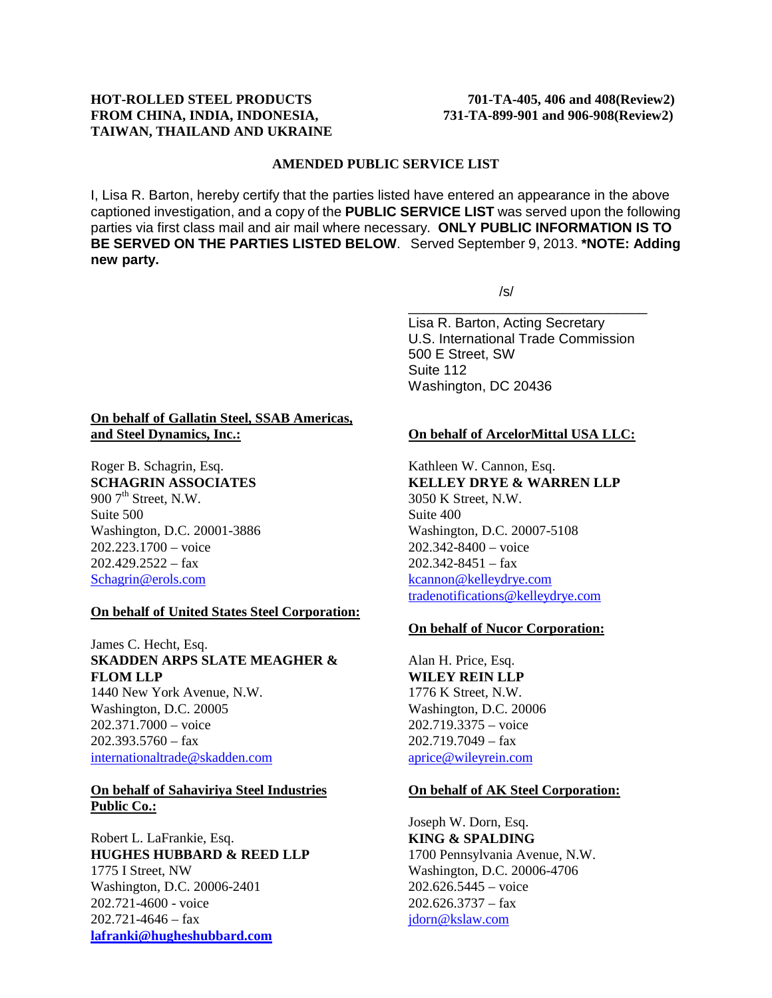# **HOT-ROLLED STEEL PRODUCTS 701-TA-405, 406 and 408(Review2) FROM CHINA, INDIA, INDONESIA, 731-TA-899-901 and 906-908(Review2) TAIWAN, THAILAND AND UKRAINE**

### **AMENDED PUBLIC SERVICE LIST**

I, Lisa R. Barton, hereby certify that the parties listed have entered an appearance in the above captioned investigation, and a copy of the **PUBLIC SERVICE LIST** was served upon the following parties via first class mail and air mail where necessary. **ONLY PUBLIC INFORMATION IS TO BE SERVED ON THE PARTIES LISTED BELOW**. Served September 9, 2013. **\*NOTE: Adding new party.**

/s/

\_\_\_\_\_\_\_\_\_\_\_\_\_\_\_\_\_\_\_\_\_\_\_\_\_\_\_\_\_\_\_ Lisa R. Barton, Acting Secretary U.S. International Trade Commission 500 E Street, SW Suite 112 Washington, DC 20436

### **On behalf of Gallatin Steel, SSAB Americas, and Steel Dynamics, Inc.:**

Roger B. Schagrin, Esq. **SCHAGRIN ASSOCIATES** 900  $7<sup>th</sup>$  Street, N.W. Suite 500 Washington, D.C. 20001-3886 202.223.1700 – voice  $202.429.2522 - fax$ [Schagrin@erols.com](mailto:Schagrin@erols.com)

# **On behalf of United States Steel Corporation:**

James C. Hecht, Esq. **SKADDEN ARPS SLATE MEAGHER & FLOM LLP**

1440 New York Avenue, N.W. Washington, D.C. 20005 202.371.7000 – voice  $202.393.5760 - fax$ [internationaltrade@skadden.com](mailto:internationaltrade@skadden.com)

**On behalf of Sahaviriya Steel Industries Public Co.:**

Robert L. LaFrankie, Esq. **HUGHES HUBBARD & REED LLP** 1775 I Street, NW Washington, D.C. 20006-2401 202.721-4600 - voice  $202.721 - 4646 - fax$ **[lafranki@hugheshubbard.com](mailto:lafranki@hugheshubbard.com)**

### **On behalf of ArcelorMittal USA LLC:**

Kathleen W. Cannon, Esq. **KELLEY DRYE & WARREN LLP** 3050 K Street, N.W. Suite 400 Washington, D.C. 20007-5108 202.342-8400 – voice  $202.342 - 8451 - fax$ [kcannon@kelleydrye.com](mailto:kcannon@kelleydrye.com) [tradenotifications@kelleydrye.com](mailto:tradenotifications@kelleydrye.com)

### **On behalf of Nucor Corporation:**

Alan H. Price, Esq. **WILEY REIN LLP** 1776 K Street, N.W. Washington, D.C. 20006 202.719.3375 – voice  $202.719.7049 - fax$ [aprice@wileyrein.com](mailto:aprice@wileyrein.com)

### **On behalf of AK Steel Corporation:**

Joseph W. Dorn, Esq. **KING & SPALDING**  1700 Pennsylvania Avenue, N.W. Washington, D.C. 20006-4706 202.626.5445 – voice  $202.626.3737 - fax$ [jdorn@kslaw.com](mailto:jdorn@kslaw.com)